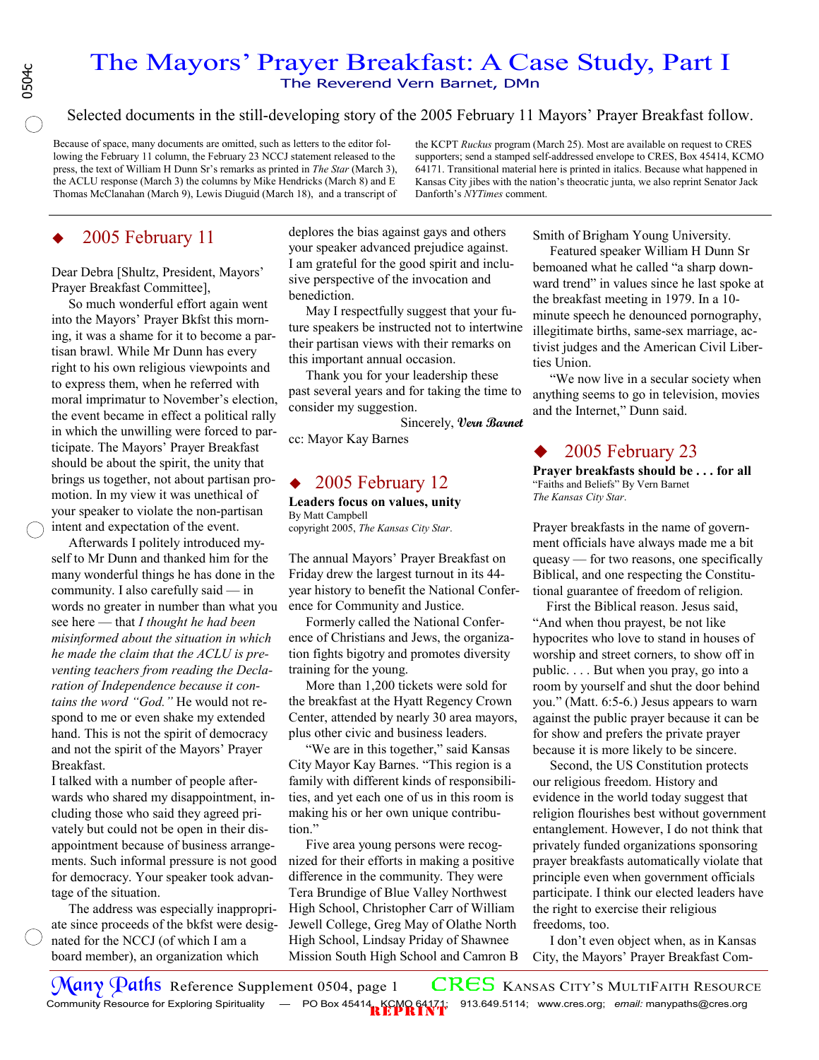# The Mayors' Prayer Breakfast: A Case Study, Part I The Reverend Vern Barnet, DMn

Selected documents in the still-developing story of the 2005 February 11 Mayors' Prayer Breakfast follow.

Because of space, many documents are omitted, such as letters to the editor following the February 11 column, the February 23 NCCJ statement released to the press, the text of William H Dunn Sr's remarks as printed in *The Star* (March 3), the ACLU response (March 3) the columns by Mike Hendricks (March 8) and E Thomas McClanahan (March 9), Lewis Diuguid (March 18), and a transcript of the KCPT *Ruckus* program (March 25). Most are available on request to CRES supporters; send a stamped self-addressed envelope to CRES, Box 45414, KCMO 64171. Transitional material here is printed in italics. Because what happened in Kansas City jibes with the nation's theocratic junta, we also reprint Senator Jack Danforth's *NYTimes* comment.

# 2005 February 11

Dear Debra [Shultz, President, Mayors' Prayer Breakfast Committee],

 So much wonderful effort again went into the Mayors' Prayer Bkfst this morning, it was a shame for it to become a partisan brawl. While Mr Dunn has every right to his own religious viewpoints and to express them, when he referred with moral imprimatur to November's election, the event became in effect a political rally in which the unwilling were forced to participate. The Mayors' Prayer Breakfast should be about the spirit, the unity that brings us together, not about partisan promotion. In my view it was unethical of your speaker to violate the non-partisan intent and expectation of the event.

 Afterwards I politely introduced myself to Mr Dunn and thanked him for the many wonderful things he has done in the community. I also carefully said — in words no greater in number than what you see here — that *I thought he had been misinformed about the situation in which he made the claim that the ACLU is preventing teachers from reading the Declaration of Independence because it contains the word "God."* He would not respond to me or even shake my extended hand. This is not the spirit of democracy and not the spirit of the Mayors' Prayer Breakfast.

I talked with a number of people afterwards who shared my disappointment, including those who said they agreed privately but could not be open in their disappointment because of business arrangements. Such informal pressure is not good for democracy. Your speaker took advantage of the situation.

 The address was especially inappropriate since proceeds of the bkfst were designated for the NCCJ (of which I am a board member), an organization which

deplores the bias against gays and others your speaker advanced prejudice against. I am grateful for the good spirit and inclusive perspective of the invocation and benediction.

 May I respectfully suggest that your future speakers be instructed not to intertwine their partisan views with their remarks on this important annual occasion.

 Thank you for your leadership these past several years and for taking the time to consider my suggestion.

Sincerely, **Vern Barnet** 

cc: Mayor Kay Barnes

## 2005 February 12

**Leaders focus on values, unity**  By Matt Campbell copyright 2005, *The Kansas City Star*.

The annual Mayors' Prayer Breakfast on Friday drew the largest turnout in its 44 year history to benefit the National Conference for Community and Justice.

 Formerly called the National Conference of Christians and Jews, the organization fights bigotry and promotes diversity training for the young.

 More than 1,200 tickets were sold for the breakfast at the Hyatt Regency Crown Center, attended by nearly 30 area mayors, plus other civic and business leaders.

 "We are in this together," said Kansas City Mayor Kay Barnes. "This region is a family with different kinds of responsibilities, and yet each one of us in this room is making his or her own unique contribution."

 Five area young persons were recognized for their efforts in making a positive difference in the community. They were Tera Brundige of Blue Valley Northwest High School, Christopher Carr of William Jewell College, Greg May of Olathe North High School, Lindsay Priday of Shawnee Mission South High School and Camron B Smith of Brigham Young University.

 Featured speaker William H Dunn Sr bemoaned what he called "a sharp downward trend" in values since he last spoke at the breakfast meeting in 1979. In a 10 minute speech he denounced pornography, illegitimate births, same-sex marriage, activist judges and the American Civil Liberties Union.

 "We now live in a secular society when anything seems to go in television, movies and the Internet," Dunn said.

## 2005 February 23

**Prayer breakfasts should be . . . for all**  "Faiths and Beliefs" By Vern Barnet *The Kansas City Star*.

Prayer breakfasts in the name of government officials have always made me a bit queasy — for two reasons, one specifically Biblical, and one respecting the Constitutional guarantee of freedom of religion.

 First the Biblical reason. Jesus said, "And when thou prayest, be not like hypocrites who love to stand in houses of worship and street corners, to show off in public. . . . But when you pray, go into a room by yourself and shut the door behind you." (Matt. 6:5-6.) Jesus appears to warn against the public prayer because it can be for show and prefers the private prayer because it is more likely to be sincere.

 Second, the US Constitution protects our religious freedom. History and evidence in the world today suggest that religion flourishes best without government entanglement. However, I do not think that privately funded organizations sponsoring prayer breakfasts automatically violate that principle even when government officials participate. I think our elected leaders have the right to exercise their religious freedoms, too.

 I don't even object when, as in Kansas City, the Mayors' Prayer Breakfast Com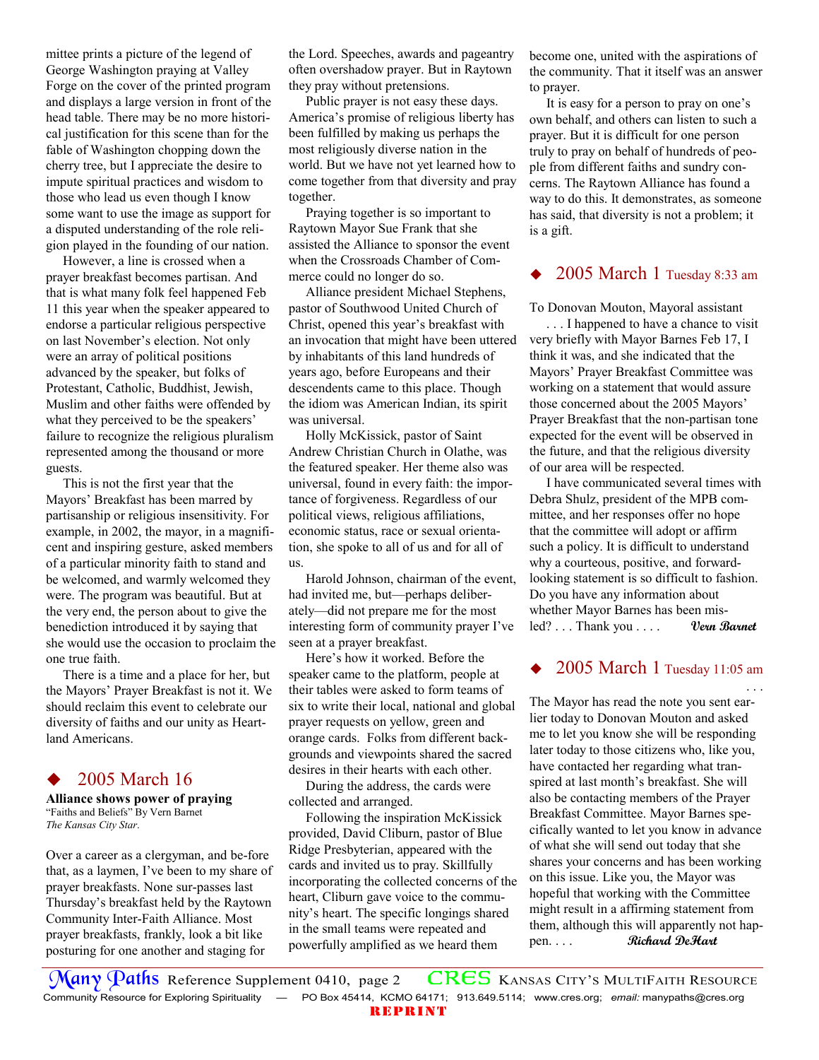mittee prints a picture of the legend of George Washington praying at Valley Forge on the cover of the printed program and displays a large version in front of the head table. There may be no more historical justification for this scene than for the fable of Washington chopping down the cherry tree, but I appreciate the desire to impute spiritual practices and wisdom to those who lead us even though I know some want to use the image as support for a disputed understanding of the role religion played in the founding of our nation.

 However, a line is crossed when a prayer breakfast becomes partisan. And that is what many folk feel happened Feb 11 this year when the speaker appeared to endorse a particular religious perspective on last November's election. Not only were an array of political positions advanced by the speaker, but folks of Protestant, Catholic, Buddhist, Jewish, Muslim and other faiths were offended by what they perceived to be the speakers' failure to recognize the religious pluralism represented among the thousand or more guests.

 This is not the first year that the Mayors' Breakfast has been marred by partisanship or religious insensitivity. For example, in 2002, the mayor, in a magnificent and inspiring gesture, asked members of a particular minority faith to stand and be welcomed, and warmly welcomed they were. The program was beautiful. But at the very end, the person about to give the benediction introduced it by saying that she would use the occasion to proclaim the one true faith.

 There is a time and a place for her, but the Mayors' Prayer Breakfast is not it. We should reclaim this event to celebrate our diversity of faiths and our unity as Heartland Americans.

## 2005 March 16

**Alliance shows power of praying**  "Faiths and Beliefs" By Vern Barnet *The Kansas City Star*.

Over a career as a clergyman, and be-fore that, as a laymen, I've been to my share of prayer breakfasts. None sur-passes last Thursday's breakfast held by the Raytown Community Inter-Faith Alliance. Most prayer breakfasts, frankly, look a bit like posturing for one another and staging for

the Lord. Speeches, awards and pageantry often overshadow prayer. But in Raytown they pray without pretensions.

 Public prayer is not easy these days. America's promise of religious liberty has been fulfilled by making us perhaps the most religiously diverse nation in the world. But we have not yet learned how to come together from that diversity and pray together.

 Praying together is so important to Raytown Mayor Sue Frank that she assisted the Alliance to sponsor the event when the Crossroads Chamber of Commerce could no longer do so.

 Alliance president Michael Stephens, pastor of Southwood United Church of Christ, opened this year's breakfast with an invocation that might have been uttered by inhabitants of this land hundreds of years ago, before Europeans and their descendents came to this place. Though the idiom was American Indian, its spirit was universal.

 Holly McKissick, pastor of Saint Andrew Christian Church in Olathe, was the featured speaker. Her theme also was universal, found in every faith: the importance of forgiveness. Regardless of our political views, religious affiliations, economic status, race or sexual orientation, she spoke to all of us and for all of us.

 Harold Johnson, chairman of the event, had invited me, but—perhaps deliberately—did not prepare me for the most interesting form of community prayer I've seen at a prayer breakfast.

 Here's how it worked. Before the speaker came to the platform, people at their tables were asked to form teams of six to write their local, national and global prayer requests on yellow, green and orange cards. Folks from different backgrounds and viewpoints shared the sacred desires in their hearts with each other.

 During the address, the cards were collected and arranged.

 Following the inspiration McKissick provided, David Cliburn, pastor of Blue Ridge Presbyterian, appeared with the cards and invited us to pray. Skillfully incorporating the collected concerns of the heart, Cliburn gave voice to the community's heart. The specific longings shared in the small teams were repeated and powerfully amplified as we heard them

become one, united with the aspirations of the community. That it itself was an answer to prayer.

 It is easy for a person to pray on one's own behalf, and others can listen to such a prayer. But it is difficult for one person truly to pray on behalf of hundreds of people from different faiths and sundry concerns. The Raytown Alliance has found a way to do this. It demonstrates, as someone has said, that diversity is not a problem; it is a gift.

## 2005 March 1 Tuesday 8:33 am

To Donovan Mouton, Mayoral assistant

 . . . I happened to have a chance to visit very briefly with Mayor Barnes Feb 17, I think it was, and she indicated that the Mayors' Prayer Breakfast Committee was working on a statement that would assure those concerned about the 2005 Mayors' Prayer Breakfast that the non-partisan tone expected for the event will be observed in the future, and that the religious diversity of our area will be respected.

 I have communicated several times with Debra Shulz, president of the MPB committee, and her responses offer no hope that the committee will adopt or affirm such a policy. It is difficult to understand why a courteous, positive, and forwardlooking statement is so difficult to fashion. Do you have any information about whether Mayor Barnes has been misled? . . . Thank you . . . . **Vern Barnet** 

## 2005 March 1 Tuesday 11:05 am . . .

The Mayor has read the note you sent earlier today to Donovan Mouton and asked me to let you know she will be responding later today to those citizens who, like you, have contacted her regarding what transpired at last month's breakfast. She will also be contacting members of the Prayer Breakfast Committee. Mayor Barnes specifically wanted to let you know in advance of what she will send out today that she shares your concerns and has been working on this issue. Like you, the Mayor was hopeful that working with the Committee might result in a affirming statement from them, although this will apparently not happen. . . . **Richard DeHart** 

REPRINT Many Paths Reference Supplement 0410, page 2 CRES KANSAS CITY's MULTIFAITH RESOURCE Community Resource for Exploring Spirituality — PO Box 45414, KCMO 64171; 913.649.5114; www.cres.org; *email:* manypaths@cres.org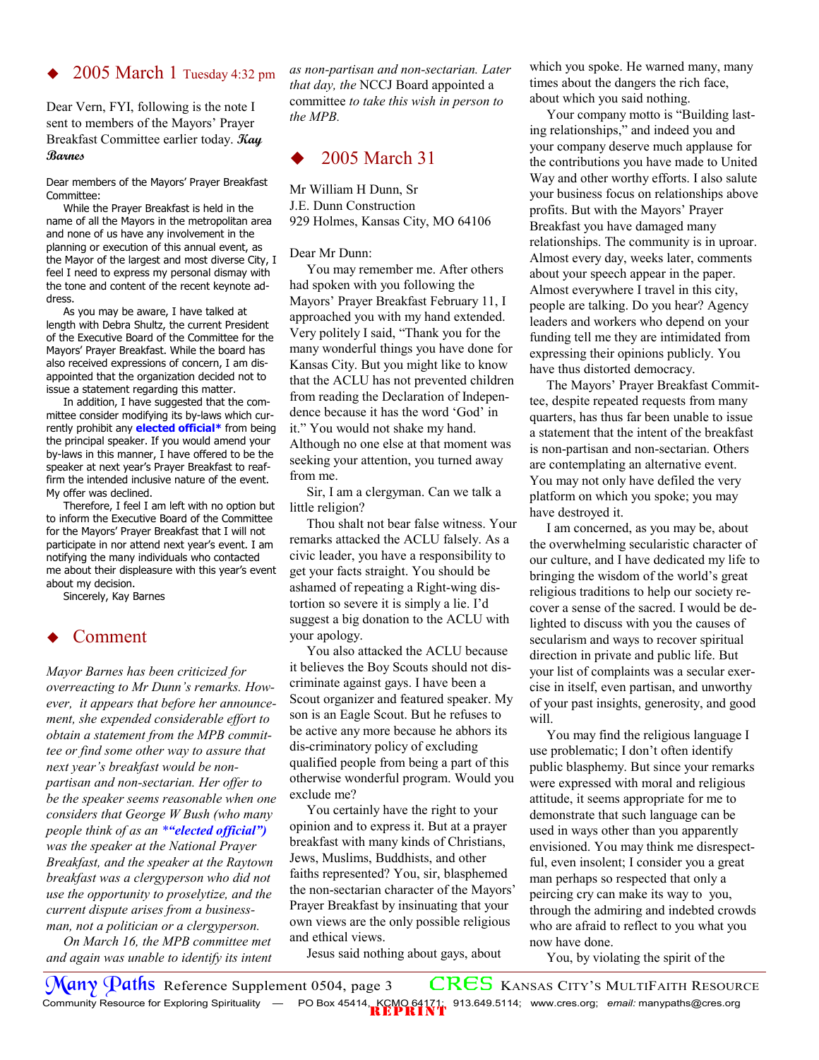## 2005 March 1 Tuesday 4:32 pm

Dear Vern, FYI, following is the note I sent to members of the Mayors' Prayer Breakfast Committee earlier today. **Kay Barnes**

Dear members of the Mayors' Prayer Breakfast Committee:

 While the Prayer Breakfast is held in the name of all the Mayors in the metropolitan area and none of us have any involvement in the planning or execution of this annual event, as the Mayor of the largest and most diverse City, I feel I need to express my personal dismay with the tone and content of the recent keynote address.

 As you may be aware, I have talked at length with Debra Shultz, the current President of the Executive Board of the Committee for the Mayors' Prayer Breakfast. While the board has also received expressions of concern, I am disappointed that the organization decided not to issue a statement regarding this matter.

 In addition, I have suggested that the committee consider modifying its by-laws which currently prohibit any **elected official\*** from being the principal speaker. If you would amend your by-laws in this manner, I have offered to be the speaker at next year's Prayer Breakfast to reaffirm the intended inclusive nature of the event. My offer was declined.

 Therefore, I feel I am left with no option but to inform the Executive Board of the Committee for the Mayors' Prayer Breakfast that I will not participate in nor attend next year's event. I am notifying the many individuals who contacted me about their displeasure with this year's event about my decision.

Sincerely, Kay Barnes

## Comment

*Mayor Barnes has been criticized for overreacting to Mr Dunn's remarks. However, it appears that before her announcement, she expended considerable effort to obtain a statement from the MPB committee or find some other way to assure that next year's breakfast would be nonpartisan and non-sectarian. Her offer to be the speaker seems reasonable when one considers that George W Bush (who many people think of as an \*"elected official") was the speaker at the National Prayer Breakfast, and the speaker at the Raytown breakfast was a clergyperson who did not use the opportunity to proselytize, and the current dispute arises from a businessman, not a politician or a clergyperson.* 

 *On March 16, the MPB committee met and again was unable to identify its intent*  *as non-partisan and non-sectarian. Later that day, the* NCCJ Board appointed a committee *to take this wish in person to the MPB.* 

## 2005 March 31

Mr William H Dunn, Sr J.E. Dunn Construction 929 Holmes, Kansas City, MO 64106

### Dear Mr Dunn:

 You may remember me. After others had spoken with you following the Mayors' Prayer Breakfast February 11, I approached you with my hand extended. Very politely I said, "Thank you for the many wonderful things you have done for Kansas City. But you might like to know that the ACLU has not prevented children from reading the Declaration of Independence because it has the word 'God' in it." You would not shake my hand. Although no one else at that moment was seeking your attention, you turned away from me.

 Sir, I am a clergyman. Can we talk a little religion?

 Thou shalt not bear false witness. Your remarks attacked the ACLU falsely. As a civic leader, you have a responsibility to get your facts straight. You should be ashamed of repeating a Right-wing distortion so severe it is simply a lie. I'd suggest a big donation to the ACLU with your apology.

 You also attacked the ACLU because it believes the Boy Scouts should not discriminate against gays. I have been a Scout organizer and featured speaker. My son is an Eagle Scout. But he refuses to be active any more because he abhors its dis-criminatory policy of excluding qualified people from being a part of this otherwise wonderful program. Would you exclude me?

 You certainly have the right to your opinion and to express it. But at a prayer breakfast with many kinds of Christians, Jews, Muslims, Buddhists, and other faiths represented? You, sir, blasphemed the non-sectarian character of the Mayors' Prayer Breakfast by insinuating that your own views are the only possible religious and ethical views.

Jesus said nothing about gays, about

which you spoke. He warned many, many times about the dangers the rich face, about which you said nothing.

 Your company motto is "Building lasting relationships," and indeed you and your company deserve much applause for the contributions you have made to United Way and other worthy efforts. I also salute your business focus on relationships above profits. But with the Mayors' Prayer Breakfast you have damaged many relationships. The community is in uproar. Almost every day, weeks later, comments about your speech appear in the paper. Almost everywhere I travel in this city, people are talking. Do you hear? Agency leaders and workers who depend on your funding tell me they are intimidated from expressing their opinions publicly. You have thus distorted democracy.

 The Mayors' Prayer Breakfast Committee, despite repeated requests from many quarters, has thus far been unable to issue a statement that the intent of the breakfast is non-partisan and non-sectarian. Others are contemplating an alternative event. You may not only have defiled the very platform on which you spoke; you may have destroyed it.

 I am concerned, as you may be, about the overwhelming secularistic character of our culture, and I have dedicated my life to bringing the wisdom of the world's great religious traditions to help our society recover a sense of the sacred. I would be delighted to discuss with you the causes of secularism and ways to recover spiritual direction in private and public life. But your list of complaints was a secular exercise in itself, even partisan, and unworthy of your past insights, generosity, and good will.

 You may find the religious language I use problematic; I don't often identify public blasphemy. But since your remarks were expressed with moral and religious attitude, it seems appropriate for me to demonstrate that such language can be used in ways other than you apparently envisioned. You may think me disrespectful, even insolent; I consider you a great man perhaps so respected that only a peircing cry can make its way to you, through the admiring and indebted crowds who are afraid to reflect to you what you now have done.

You, by violating the spirit of the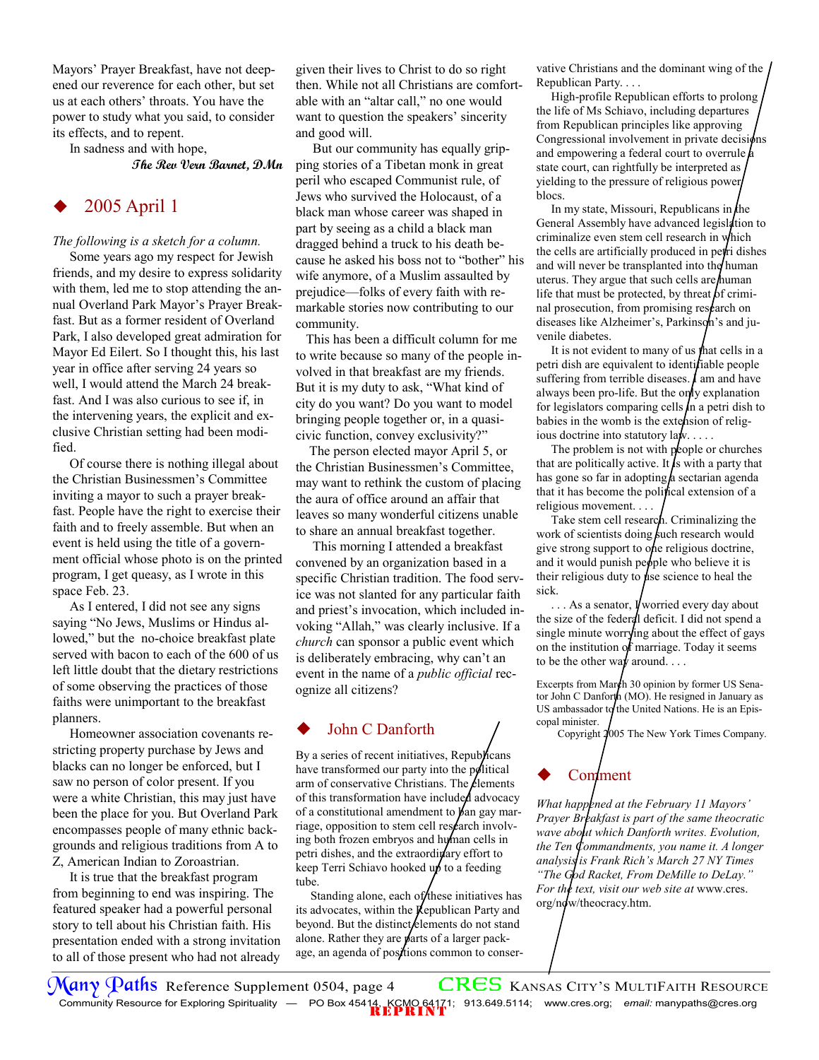Mayors' Prayer Breakfast, have not deepened our reverence for each other, but set us at each others' throats. You have the power to study what you said, to consider its effects, and to repent.

In sadness and with hope,

**The Rev Vern Barnet, DMn** 

# 2005 April 1

## *The following is a sketch for a column.*

 Some years ago my respect for Jewish friends, and my desire to express solidarity with them, led me to stop attending the annual Overland Park Mayor's Prayer Breakfast. But as a former resident of Overland Park, I also developed great admiration for Mayor Ed Eilert. So I thought this, his last year in office after serving 24 years so well, I would attend the March 24 breakfast. And I was also curious to see if, in the intervening years, the explicit and exclusive Christian setting had been modified.

 Of course there is nothing illegal about the Christian Businessmen's Committee inviting a mayor to such a prayer breakfast. People have the right to exercise their faith and to freely assemble. But when an event is held using the title of a government official whose photo is on the printed program, I get queasy, as I wrote in this space Feb. 23.

 As I entered, I did not see any signs saying "No Jews, Muslims or Hindus allowed," but the no-choice breakfast plate served with bacon to each of the 600 of us left little doubt that the dietary restrictions of some observing the practices of those faiths were unimportant to the breakfast planners.

 Homeowner association covenants restricting property purchase by Jews and blacks can no longer be enforced, but I saw no person of color present. If you were a white Christian, this may just have been the place for you. But Overland Park encompasses people of many ethnic backgrounds and religious traditions from A to Z, American Indian to Zoroastrian.

 It is true that the breakfast program from beginning to end was inspiring. The featured speaker had a powerful personal story to tell about his Christian faith. His presentation ended with a strong invitation to all of those present who had not already given their lives to Christ to do so right then. While not all Christians are comfortable with an "altar call," no one would want to question the speakers' sincerity and good will.

 But our community has equally gripping stories of a Tibetan monk in great peril who escaped Communist rule, of Jews who survived the Holocaust, of a black man whose career was shaped in part by seeing as a child a black man dragged behind a truck to his death because he asked his boss not to "bother" his wife anymore, of a Muslim assaulted by prejudice—folks of every faith with remarkable stories now contributing to our community.

 This has been a difficult column for me to write because so many of the people involved in that breakfast are my friends. But it is my duty to ask, "What kind of city do you want? Do you want to model bringing people together or, in a quasicivic function, convey exclusivity?"

 The person elected mayor April 5, or the Christian Businessmen's Committee, may want to rethink the custom of placing the aura of office around an affair that leaves so many wonderful citizens unable to share an annual breakfast together.

 This morning I attended a breakfast convened by an organization based in a specific Christian tradition. The food service was not slanted for any particular faith and priest's invocation, which included invoking "Allah," was clearly inclusive. If a *church* can sponsor a public event which is deliberately embracing, why can't an event in the name of a *public official* recognize all citizens?

## John C Danforth

By a series of recent initiatives, Republicans have transformed our party into the political arm of conservative Christians. The  $\ell$ lements of this transformation have included advocacy of a constitutional amendment to  $\beta$ an gay marriage, opposition to stem cell research involving both frozen embryos and human cells in petri dishes, and the extraordinary effort to keep Terri Schiavo hooked up to a feeding tube.

Standing alone, each of these initiatives has its advocates, within the Republican Party and beyond. But the distinct/elements do not stand alone. Rather they are parts of a larger package, an agenda of posttions common to conservative Christians and the dominant wing of the Republican Party. . . .

 High-profile Republican efforts to prolong the life of Ms Schiavo, including departures from Republican principles like approving Congressional involvement in private decisions and empowering a federal court to overrule  $\oint$ state court, can rightfully be interpreted as yielding to the pressure of religious power blocs.

In my state, Missouri, Republicans in the General Assembly have advanced legislation to criminalize even stem cell research in which the cells are artificially produced in petri dishes and will never be transplanted into the human uterus. They argue that such cells are human life that must be protected, by threat  $\beta$ f criminal prosecution, from promising research on diseases like Alzheimer's, Parkinson's and juvenile diabetes.

It is not evident to many of us that cells in a petri dish are equivalent to identifiable people suffering from terrible diseases.  $\boldsymbol{\mu}$  am and have always been pro-life. But the only explanation for legislators comparing cells  $\ln$  a petri dish to babies in the womb is the extension of religious doctrine into statutory law. . . . .

The problem is not with people or churches that are politically active. It is with a party that has gone so far in adopting  $\alpha$  sectarian agenda that it has become the political extension of a religious movement. . . .

 Take stem cell research. Criminalizing the work of scientists doing fuch research would give strong support to one religious doctrine, and it would punish people who believe it is their religious duty to  $\mu$ se science to heal the sick.

 $\ldots$  As a senator, **V** worried every day about the size of the federal deficit. I did not spend a single minute worrying about the effect of gays on the institution of marriage. Today it seems to be the other way around.  $\ldots$ 

Excerpts from March 30 opinion by former US Senator John C Danforth (MO). He resigned in January as US ambassador to the United Nations. He is an Episcopal minister.

Copyright 2005 The New York Times Company.

# Comment

*What happened at the February 11 Mayors' Prayer Breakfast is part of the same theocratic wave about which Danforth writes. Evolution, the Ten Commandments, you name it. A longer analysis is Frank Rich's March 27 NY Times "The God Racket, From DeMille to DeLay." For the text, visit our web site at* www.cres.  $org/nq$ w/theocracy.htm.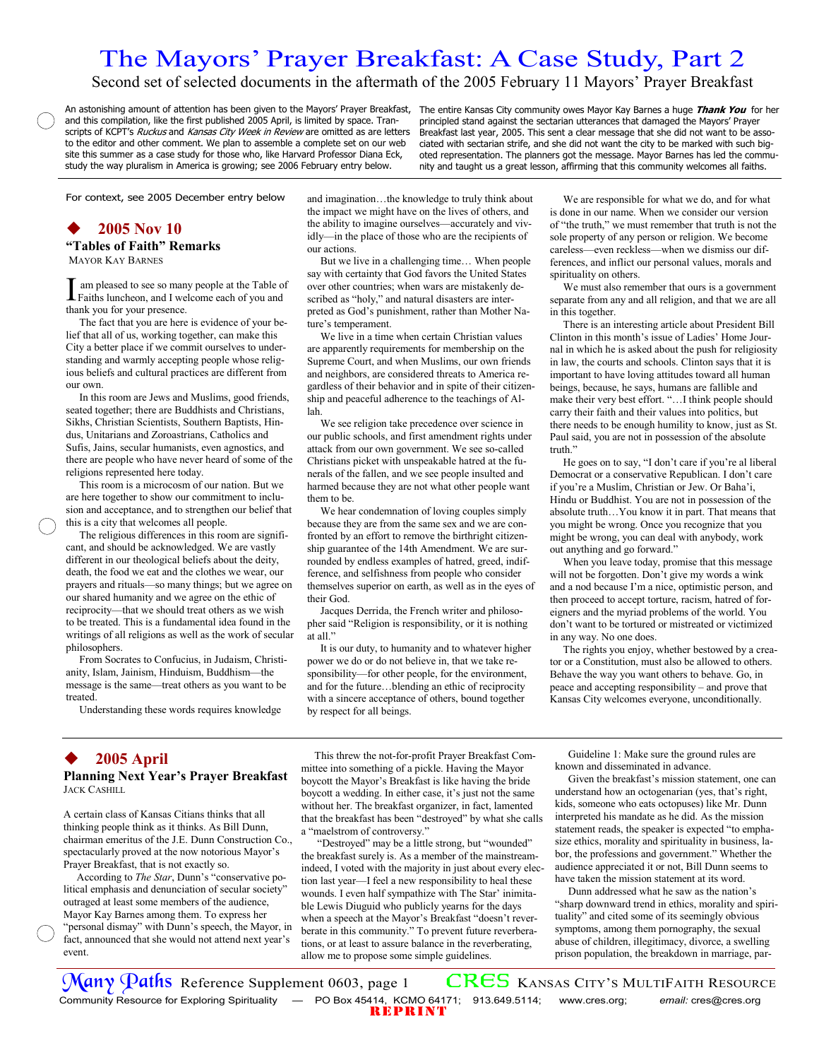# The Mayors' Prayer Breakfast: A Case Study, Part 2

Second set of selected documents in the aftermath of the 2005 February 11 Mayors' Prayer Breakfast

An astonishing amount of attention has been given to the Mayors' Prayer Breakfast, The entire Kansas City community owes Mayor Kay Barnes a huge Thank You for her and this compilation, like the first published 2005 April, is limited by space. Transcripts of KCPT's Ruckus and Kansas City Week in Review are omitted as are letters to the editor and other comment. We plan to assemble a complete set on our web site this summer as a case study for those who, like Harvard Professor Diana Eck, study the way pluralism in America is growing; see 2006 February entry below.

principled stand against the sectarian utterances that damaged the Mayors' Prayer Breakfast last year, 2005. This sent a clear message that she did not want to be associated with sectarian strife, and she did not want the city to be marked with such bigoted representation. The planners got the message. Mayor Barnes has led the community and taught us a great lesson, affirming that this community welcomes all faiths.

For context, see 2005 December entry below

## **2005 Nov 10**

**"Tables of Faith" Remarks**  MAYOR KAY BARNES

I am pleased to see so many people at the Table of Faiths luncheon, and I welcome each of you and thank you for your presence.

 The fact that you are here is evidence of your belief that all of us, working together, can make this City a better place if we commit ourselves to understanding and warmly accepting people whose religious beliefs and cultural practices are different from our own.

 In this room are Jews and Muslims, good friends, seated together; there are Buddhists and Christians, Sikhs, Christian Scientists, Southern Baptists, Hindus, Unitarians and Zoroastrians, Catholics and Sufis, Jains, secular humanists, even agnostics, and there are people who have never heard of some of the religions represented here today.

 This room is a microcosm of our nation. But we are here together to show our commitment to inclusion and acceptance, and to strengthen our belief that this is a city that welcomes all people.

 The religious differences in this room are significant, and should be acknowledged. We are vastly different in our theological beliefs about the deity, death, the food we eat and the clothes we wear, our prayers and rituals—so many things; but we agree on our shared humanity and we agree on the ethic of reciprocity—that we should treat others as we wish to be treated. This is a fundamental idea found in the writings of all religions as well as the work of secular philosophers.

 From Socrates to Confucius, in Judaism, Christianity, Islam, Jainism, Hinduism, Buddhism—the message is the same—treat others as you want to be treated.

Understanding these words requires knowledge

and imagination…the knowledge to truly think about the impact we might have on the lives of others, and the ability to imagine ourselves—accurately and vividly—in the place of those who are the recipients of our actions.

 But we live in a challenging time… When people say with certainty that God favors the United States over other countries; when wars are mistakenly described as "holy," and natural disasters are interpreted as God's punishment, rather than Mother Nature's temperament.

 We live in a time when certain Christian values are apparently requirements for membership on the Supreme Court, and when Muslims, our own friends and neighbors, are considered threats to America regardless of their behavior and in spite of their citizenship and peaceful adherence to the teachings of Allah.

 We see religion take precedence over science in our public schools, and first amendment rights under attack from our own government. We see so-called Christians picket with unspeakable hatred at the funerals of the fallen, and we see people insulted and harmed because they are not what other people want them to be.

 We hear condemnation of loving couples simply because they are from the same sex and we are confronted by an effort to remove the birthright citizenship guarantee of the 14th Amendment. We are surrounded by endless examples of hatred, greed, indifference, and selfishness from people who consider themselves superior on earth, as well as in the eyes of their God.

 Jacques Derrida, the French writer and philosopher said "Religion is responsibility, or it is nothing at all."

 It is our duty, to humanity and to whatever higher power we do or do not believe in, that we take responsibility—for other people, for the environment, and for the future…blending an ethic of reciprocity with a sincere acceptance of others, bound together by respect for all beings.

 We are responsible for what we do, and for what is done in our name. When we consider our version of "the truth," we must remember that truth is not the sole property of any person or religion. We become careless—even reckless—when we dismiss our differences, and inflict our personal values, morals and spirituality on others.

 We must also remember that ours is a government separate from any and all religion, and that we are all in this together.

 There is an interesting article about President Bill Clinton in this month's issue of Ladies' Home Journal in which he is asked about the push for religiosity in law, the courts and schools. Clinton says that it is important to have loving attitudes toward all human beings, because, he says, humans are fallible and make their very best effort. "…I think people should carry their faith and their values into politics, but there needs to be enough humility to know, just as St. Paul said, you are not in possession of the absolute truth."

 He goes on to say, "I don't care if you're al liberal Democrat or a conservative Republican. I don't care if you're a Muslim, Christian or Jew. Or Baha'i, Hindu or Buddhist. You are not in possession of the absolute truth…You know it in part. That means that you might be wrong. Once you recognize that you might be wrong, you can deal with anybody, work out anything and go forward."

 When you leave today, promise that this message will not be forgotten. Don't give my words a wink and a nod because I'm a nice, optimistic person, and then proceed to accept torture, racism, hatred of foreigners and the myriad problems of the world. You don't want to be tortured or mistreated or victimized in any way. No one does.

 The rights you enjoy, whether bestowed by a creator or a Constitution, must also be allowed to others. Behave the way you want others to behave. Go, in peace and accepting responsibility – and prove that Kansas City welcomes everyone, unconditionally.

## **2005 April**

### **Planning Next Year's Prayer Breakfast**  JACK CASHILL

A certain class of Kansas Citians thinks that all thinking people think as it thinks. As Bill Dunn, chairman emeritus of the J.E. Dunn Construction Co., spectacularly proved at the now notorious Mayor's Prayer Breakfast, that is not exactly so.

 According to *The Star*, Dunn's "conservative political emphasis and denunciation of secular society" outraged at least some members of the audience, Mayor Kay Barnes among them. To express her "personal dismay" with Dunn's speech, the Mayor, in fact, announced that she would not attend next year's event.

 This threw the not-for-profit Prayer Breakfast Committee into something of a pickle. Having the Mayor boycott the Mayor's Breakfast is like having the bride boycott a wedding. In either case, it's just not the same without her. The breakfast organizer, in fact, lamented that the breakfast has been "destroyed" by what she calls a "maelstrom of controversy."

 "Destroyed" may be a little strong, but "wounded" the breakfast surely is. As a member of the mainstreamindeed, I voted with the majority in just about every election last year—I feel a new responsibility to heal these wounds. I even half sympathize with The Star' inimitable Lewis Diuguid who publicly yearns for the days when a speech at the Mayor's Breakfast "doesn't reverberate in this community." To prevent future reverberations, or at least to assure balance in the reverberating, allow me to propose some simple guidelines.

 Guideline 1: Make sure the ground rules are known and disseminated in advance.

 Given the breakfast's mission statement, one can understand how an octogenarian (yes, that's right, kids, someone who eats octopuses) like Mr. Dunn interpreted his mandate as he did. As the mission statement reads, the speaker is expected "to emphasize ethics, morality and spirituality in business, labor, the professions and government." Whether the audience appreciated it or not, Bill Dunn seems to have taken the mission statement at its word.

 Dunn addressed what he saw as the nation's "sharp downward trend in ethics, morality and spirituality" and cited some of its seemingly obvious symptoms, among them pornography, the sexual abuse of children, illegitimacy, divorce, a swelling prison population, the breakdown in marriage, par-

REPRINT **Many Paths** Reference Supplement 0603, page 1 **CRES** KANSAS CITY'S MULTIFAITH RESOURCE<br>Community Resource for Exploring Spirituality – PO Box 45414, KCMO 64171; 913.649.5114; www.cres.org; email: cres@cres.org Community Resource for Exploring Spirituality — PO Box 45414, KCMO 64171; 913.649.5114;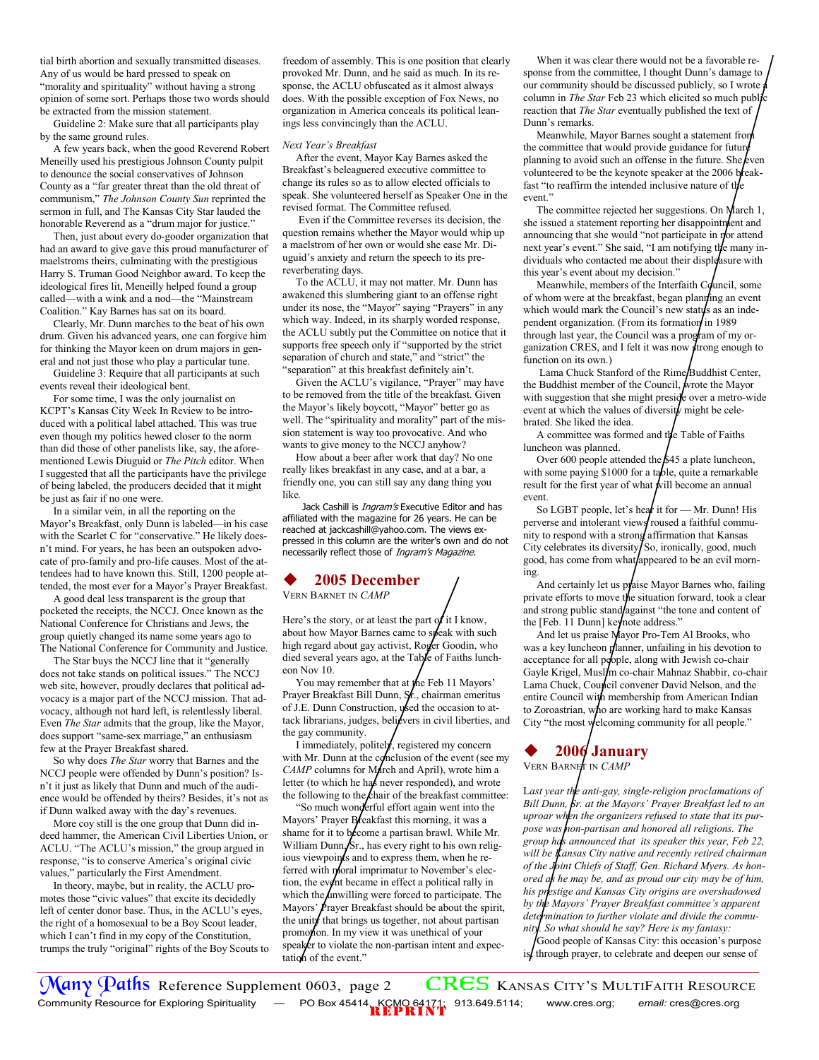tial birth abortion and sexually transmitted diseases. Any of us would be hard pressed to speak on "morality and spirituality" without having a strong opinion of some sort. Perhaps those two words should be extracted from the mission statement.

 Guideline 2: Make sure that all participants play by the same ground rules.

 A few years back, when the good Reverend Robert Meneilly used his prestigious Johnson County pulpit to denounce the social conservatives of Johnson County as a "far greater threat than the old threat of communism," *The Johnson County Sun* reprinted the sermon in full, and The Kansas City Star lauded the honorable Reverend as a "drum major for justice."

 Then, just about every do-gooder organization that had an award to give gave this proud manufacturer of maelstroms theirs, culminating with the prestigious Harry S. Truman Good Neighbor award. To keep the ideological fires lit, Meneilly helped found a group called—with a wink and a nod—the "Mainstream Coalition." Kay Barnes has sat on its board.

 Clearly, Mr. Dunn marches to the beat of his own drum. Given his advanced years, one can forgive him for thinking the Mayor keen on drum majors in general and not just those who play a particular tune.

 Guideline 3: Require that all participants at such events reveal their ideological bent.

 For some time, I was the only journalist on KCPT's Kansas City Week In Review to be introduced with a political label attached. This was true even though my politics hewed closer to the norm than did those of other panelists like, say, the aforementioned Lewis Diuguid or *The Pitch* editor. When I suggested that all the participants have the privilege of being labeled, the producers decided that it might be just as fair if no one were.

 In a similar vein, in all the reporting on the Mayor's Breakfast, only Dunn is labeled—in his case with the Scarlet C for "conservative." He likely doesn't mind. For years, he has been an outspoken advocate of pro-family and pro-life causes. Most of the attendees had to have known this. Still, 1200 people attended, the most ever for a Mayor's Prayer Breakfast.

 A good deal less transparent is the group that pocketed the receipts, the NCCJ. Once known as the National Conference for Christians and Jews, the group quietly changed its name some years ago to The National Conference for Community and Justice.

 The Star buys the NCCJ line that it "generally does not take stands on political issues." The NCCJ web site, however, proudly declares that political advocacy is a major part of the NCCJ mission. That advocacy, although not hard left, is relentlessly liberal. Even *The Star* admits that the group, like the Mayor, does support "same-sex marriage," an enthusiasm few at the Prayer Breakfast shared.

 So why does *The Star* worry that Barnes and the NCCJ people were offended by Dunn's position? Isn't it just as likely that Dunn and much of the audience would be offended by theirs? Besides, it's not as if Dunn walked away with the day's revenues.

 More coy still is the one group that Dunn did indeed hammer, the American Civil Liberties Union, or ACLU. "The ACLU's mission," the group argued in response, "is to conserve America's original civic values," particularly the First Amendment.

 In theory, maybe, but in reality, the ACLU promotes those "civic values" that excite its decidedly left of center donor base. Thus, in the ACLU's eyes, the right of a homosexual to be a Boy Scout leader, which I can't find in my copy of the Constitution, trumps the truly "original" rights of the Boy Scouts to freedom of assembly. This is one position that clearly provoked Mr. Dunn, and he said as much. In its response, the ACLU obfuscated as it almost always does. With the possible exception of Fox News, no organization in America conceals its political leanings less convincingly than the ACLU.

### *Next Year's Breakfast*

 After the event, Mayor Kay Barnes asked the Breakfast's beleaguered executive committee to change its rules so as to allow elected officials to speak. She volunteered herself as Speaker One in the revised format. The Committee refused.

 Even if the Committee reverses its decision, the question remains whether the Mayor would whip up a maelstrom of her own or would she ease Mr. Diuguid's anxiety and return the speech to its prereverberating days.

 To the ACLU, it may not matter. Mr. Dunn has awakened this slumbering giant to an offense right under its nose, the "Mayor" saying "Prayers" in any which way. Indeed, in its sharply worded response, the ACLU subtly put the Committee on notice that it supports free speech only if "supported by the strict separation of church and state," and "strict" the "separation" at this breakfast definitely ain't.

 Given the ACLU's vigilance, "Prayer" may have to be removed from the title of the breakfast. Given the Mayor's likely boycott, "Mayor" better go as well. The "spirituality and morality" part of the mission statement is way too provocative. And who wants to give money to the NCCJ anyhow?

 How about a beer after work that day? No one really likes breakfast in any case, and at a bar, a friendly one, you can still say any dang thing you like.

Jack Cashill is *Ingram's* Executive Editor and has affiliated with the magazine for 26 years. He can be reached at jackcashill@yahoo.com. The views expressed in this column are the writer's own and do not necessarily reflect those of Ingram's Magazine.

# **2005 December**

VERN BARNET IN *CAMP* 

Here's the story, or at least the part of it I know, about how Mayor Barnes came to speak with such high regard about gay activist, Roger Goodin, who died several years ago, at the Table of Faiths luncheon Nov 10.

You may remember that at the Feb 11 Mayors' Prayer Breakfast Bill Dunn, St., chairman emeritus of J.E. Dunn Construction, used the occasion to attack librarians, judges, believers in civil liberties, and the gay community.

 I immediately, politely, registered my concern with Mr. Dunn at the conclusion of the event (see my *CAMP* columns for March and April), wrote him a letter (to which he has never responded), and wrote the following to the chair of the breakfast committee:

 "So much wonderful effort again went into the Mayors' Prayer Breakfast this morning, it was a shame for it to become a partisan brawl. While Mr. William Dunn, Sr., has every right to his own religious viewpoints and to express them, when he referred with moral imprimatur to November's election, the event became in effect a political rally in which the unwilling were forced to participate. The Mayors'  $\cancel{P}$  rayer Breakfast should be about the spirit, the unity that brings us together, not about partisan promotion. In my view it was unethical of your speaker to violate the non-partisan intent and expectation of the event."

 When it was clear there would not be a favorable response from the committee, I thought Dunn's damage to our community should be discussed publicly, so I wrote column in *The Star* Feb 23 which elicited so much public reaction that *The Star* eventually published the text of Dunn's remarks.

Meanwhile, Mayor Barnes sought a statement from the committee that would provide guidance for future planning to avoid such an offense in the future. She *even* volunteered to be the keynote speaker at the 2006 breakfast "to reaffirm the intended inclusive nature of the event."

 The committee rejected her suggestions. On March 1, she issued a statement reporting her disappointment and announcing that she would "not participate in  $\eta$ <sup>or</sup> attend next year's event." She said, "I am notifying the many individuals who contacted me about their displeasure with this year's event about my decision."

Meanwhile, members of the Interfaith Council, some of whom were at the breakfast, began planning an event which would mark the Council's new status as an independent organization. (From its formation in 1989 through last year, the Council was a program of my organization CRES, and I felt it was now  $\frac{1}{2}$  trong enough to function on its own.)

Lama Chuck Stanford of the Rime/Buddhist Center, the Buddhist member of the Council, wrote the Mayor with suggestion that she might preside over a metro-wide event at which the values of diversity might be celebrated. She liked the idea.

 A committee was formed and the Table of Faiths luncheon was planned.

Over 600 people attended the  $$45$  a plate luncheon, with some paying \$1000 for a table, quite a remarkable result for the first year of what will become an annual event.

So LGBT people, let's hear it for - Mr. Dunn! His perverse and intolerant views roused a faithful community to respond with a strong affirmation that Kansas City celebrates its diversity  $\int$  So, ironically, good, much good, has come from what/appeared to be an evil morning.

And certainly let us praise Mayor Barnes who, failing private efforts to move the situation forward, took a clear and strong public stand/against "the tone and content of the [Feb. 11 Dunn] keynote address."

 And let us praise Mayor Pro-Tem Al Brooks, who was a key luncheon planner, unfailing in his devotion to acceptance for all poople, along with Jewish co-chair Gayle Krigel, Muslim co-chair Mahnaz Shabbir, co-chair Lama Chuck, Council convener David Nelson, and the entire Council with membership from American Indian to Zoroastrian, who are working hard to make Kansas City "the most welcoming community for all people."



VERN BARNET IN *CAMP* 

L*ast year the anti-gay, single-religion proclamations of Bill Dunn, Sr. at the Mayors' Prayer Breakfast led to an uproar when the organizers refused to state that its purpose was non-partisan and honored all religions. The group has announced that its speaker this year, Feb 22, will be Kansas City native and recently retired chairman of the Joint Chiefs of Staff, Gen. Richard Myers. As honored as he may be, and as proud our city may be of him, his prestige and Kansas City origins are overshadowed by the Mayors' Prayer Breakfast committee's apparent determination to further violate and divide the community. So what should he say? Here is my fantasy:*

Good people of Kansas City: this occasion's purpose is, through prayer, to celebrate and deepen our sense of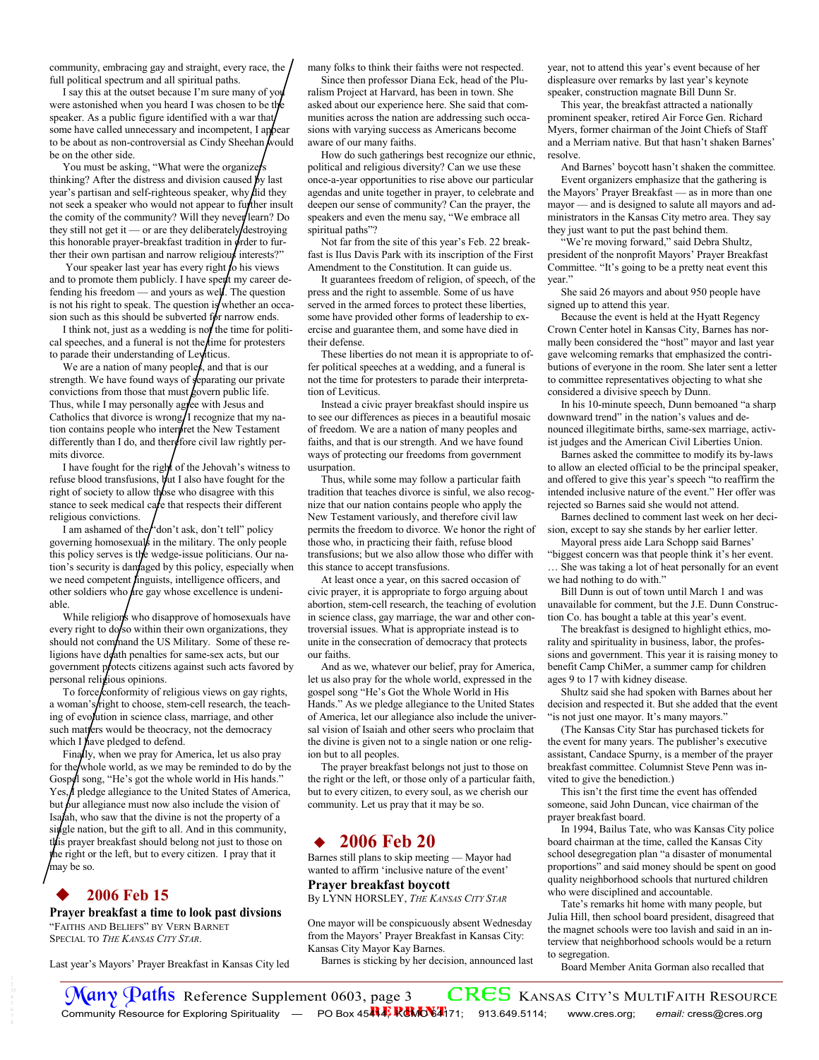community, embracing gay and straight, every race, the full political spectrum and all spiritual paths.

 I say this at the outset because I'm sure many of you were astonished when you heard I was chosen to be the speaker. As a public figure identified with a war that some have called unnecessary and incompetent, I appear to be about as non-controversial as Cindy Sheehan  $\vec{k}$  ould be on the other side.

You must be asking, "What were the organizers" thinking? After the distress and division caused  $\cancel{b}y$  last year's partisan and self-righteous speaker, why did they not seek a speaker who would not appear to further insult the comity of the community? Will they never learn? Do they still not get it — or are they deliberately destroying this honorable prayer-breakfast tradition in  $\phi$ rder to further their own partisan and narrow religious interests?"

Your speaker last year has every right to his views and to promote them publicly. I have spent my career defending his freedom — and yours as well. The question is not his right to speak. The question is whether an occasion such as this should be subverted for narrow ends.

I think not, just as a wedding is not the time for political speeches, and a funeral is not the time for protesters to parade their understanding of Leviticus.

We are a nation of many peoples, and that is our strength. We have found ways of  $\oint$ eparating our private convictions from those that must govern public life. Thus, while I may personally agree with Jesus and Catholics that divorce is wrong/I recognize that my nation contains people who interpret the New Testament differently than I do, and therefore civil law rightly permits divorce.

 I have fought for the right of the Jehovah's witness to refuse blood transfusions,  $\psi$ ut I also have fought for the right of society to allow those who disagree with this stance to seek medical care that respects their different religious convictions.

I am ashamed of the  $\int$  don't ask, don't tell" policy governing homosexuals in the military. The only people this policy serves is the wedge-issue politicians. Our nation's security is damaged by this policy, especially when we need competent *linguists*, intelligence officers, and other soldiers who  $\Delta$  are gay whose excellence is undeniable.

While religions who disapprove of homosexuals have every right to do/so within their own organizations, they should not command the US Military. Some of these religions have death penalties for same-sex acts, but our government protects citizens against such acts favored by personal religious opinions.

To force conformity of religious views on gay rights, a woman's/right to choose, stem-cell research, the teaching of evolution in science class, marriage, and other such matters would be theocracy, not the democracy which I have pledged to defend.

 Finally, when we pray for America, let us also pray for the whole world, as we may be reminded to do by the Gospel song, "He's got the whole world in His hands." Yes, I pledge allegiance to the United States of America, but  $\beta$ ur allegiance must now also include the vision of Isafah, who saw that the divine is not the property of a single nation, but the gift to all. And in this community, this prayer breakfast should belong not just to those on he right or the left, but to every citizen. I pray that it may be so.

## **2006 Feb 15**

**Prayer breakfast a time to look past divsions**  "FAITHS AND BELIEFS" BY VERN BARNET SPECIAL TO *THE KANSAS CITY STAR*.

Last year's Mayors' Prayer Breakfast in Kansas City led

many folks to think their faiths were not respected.

 Since then professor Diana Eck, head of the Pluralism Project at Harvard, has been in town. She asked about our experience here. She said that communities across the nation are addressing such occasions with varying success as Americans become aware of our many faiths.

 How do such gatherings best recognize our ethnic, political and religious diversity? Can we use these once-a-year opportunities to rise above our particular agendas and unite together in prayer, to celebrate and deepen our sense of community? Can the prayer, the speakers and even the menu say, "We embrace all spiritual paths"?

 Not far from the site of this year's Feb. 22 breakfast is Ilus Davis Park with its inscription of the First Amendment to the Constitution. It can guide us.

 It guarantees freedom of religion, of speech, of the press and the right to assemble. Some of us have served in the armed forces to protect these liberties, some have provided other forms of leadership to exercise and guarantee them, and some have died in their defense.

 These liberties do not mean it is appropriate to offer political speeches at a wedding, and a funeral is not the time for protesters to parade their interpretation of Leviticus.

 Instead a civic prayer breakfast should inspire us to see our differences as pieces in a beautiful mosaic of freedom. We are a nation of many peoples and faiths, and that is our strength. And we have found ways of protecting our freedoms from government usurpation.

 Thus, while some may follow a particular faith tradition that teaches divorce is sinful, we also recognize that our nation contains people who apply the New Testament variously, and therefore civil law permits the freedom to divorce. We honor the right of those who, in practicing their faith, refuse blood transfusions; but we also allow those who differ with this stance to accept transfusions.

 At least once a year, on this sacred occasion of civic prayer, it is appropriate to forgo arguing about abortion, stem-cell research, the teaching of evolution in science class, gay marriage, the war and other controversial issues. What is appropriate instead is to unite in the consecration of democracy that protects our faiths.

 And as we, whatever our belief, pray for America, let us also pray for the whole world, expressed in the gospel song "He's Got the Whole World in His Hands." As we pledge allegiance to the United States of America, let our allegiance also include the universal vision of Isaiah and other seers who proclaim that the divine is given not to a single nation or one religion but to all peoples.

 The prayer breakfast belongs not just to those on the right or the left, or those only of a particular faith, but to every citizen, to every soul, as we cherish our community. Let us pray that it may be so.

## **2006 Feb 20**

Barnes still plans to skip meeting — Mayor had wanted to affirm 'inclusive nature of the event' **Prayer breakfast boycott** 

By LYNN HORSLEY, *THE KANSAS CITY STAR*

One mayor will be conspicuously absent Wednesday from the Mayors' Prayer Breakfast in Kansas City: Kansas City Mayor Kay Barnes.

Barnes is sticking by her decision, announced last

year, not to attend this year's event because of her displeasure over remarks by last year's keynote speaker, construction magnate Bill Dunn Sr.

 This year, the breakfast attracted a nationally prominent speaker, retired Air Force Gen. Richard Myers, former chairman of the Joint Chiefs of Staff and a Merriam native. But that hasn't shaken Barnes' resolve.

 And Barnes' boycott hasn't shaken the committee. Event organizers emphasize that the gathering is the Mayors' Prayer Breakfast — as in more than one mayor — and is designed to salute all mayors and administrators in the Kansas City metro area. They say they just want to put the past behind them.

 "We're moving forward," said Debra Shultz, president of the nonprofit Mayors' Prayer Breakfast Committee. "It's going to be a pretty neat event this year."

 She said 26 mayors and about 950 people have signed up to attend this year.

 Because the event is held at the Hyatt Regency Crown Center hotel in Kansas City, Barnes has normally been considered the "host" mayor and last year gave welcoming remarks that emphasized the contributions of everyone in the room. She later sent a letter to committee representatives objecting to what she considered a divisive speech by Dunn.

 In his 10-minute speech, Dunn bemoaned "a sharp downward trend" in the nation's values and denounced illegitimate births, same-sex marriage, activist judges and the American Civil Liberties Union.

 Barnes asked the committee to modify its by-laws to allow an elected official to be the principal speaker, and offered to give this year's speech "to reaffirm the intended inclusive nature of the event." Her offer was rejected so Barnes said she would not attend.

 Barnes declined to comment last week on her decision, except to say she stands by her earlier letter.

 Mayoral press aide Lara Schopp said Barnes' "biggest concern was that people think it's her event. … She was taking a lot of heat personally for an event we had nothing to do with."

 Bill Dunn is out of town until March 1 and was unavailable for comment, but the J.E. Dunn Construction Co. has bought a table at this year's event.

 The breakfast is designed to highlight ethics, morality and spirituality in business, labor, the professions and government. This year it is raising money to benefit Camp ChiMer, a summer camp for children ages 9 to 17 with kidney disease.

 Shultz said she had spoken with Barnes about her decision and respected it. But she added that the event "is not just one mayor. It's many mayors."

 (The Kansas City Star has purchased tickets for the event for many years. The publisher's executive assistant, Candace Spurny, is a member of the prayer breakfast committee. Columnist Steve Penn was invited to give the benediction.)

 This isn't the first time the event has offended someone, said John Duncan, vice chairman of the prayer breakfast board.

 In 1994, Bailus Tate, who was Kansas City police board chairman at the time, called the Kansas City school desegregation plan "a disaster of monumental proportions" and said money should be spent on good quality neighborhood schools that nurtured children who were disciplined and accountable.

 Tate's remarks hit home with many people, but Julia Hill, then school board president, disagreed that the magnet schools were too lavish and said in an interview that neighborhood schools would be a return to segregation.

Board Member Anita Gorman also recalled that

Community Resource for Exploring Spirituality — PO Box 45444, RCMO 64171; 913.649.5114; www.cres.org; *email: cress@cres.org*  $\frac{1}{\sqrt{2}}$  **Paths** Reference Supplement 0603, page 3 **CRES** KANSAS CITY's MULTIFAITH RESOURCE<br>Community Resource for Exploring Spirituality – PO Box 45**44; ReMOS4**71; 913.649.5114; www.cres.org; *email: cress@cres.org*